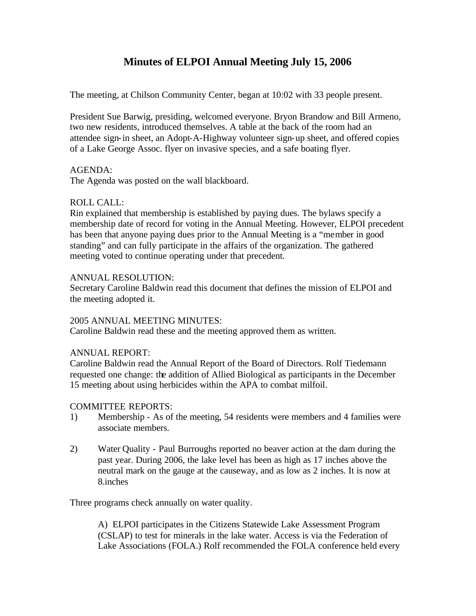# **Minutes of ELPOI Annual Meeting July 15, 2006**

The meeting, at Chilson Community Center, began at 10:02 with 33 people present.

President Sue Barwig, presiding, welcomed everyone. Bryon Brandow and Bill Armeno, two new residents, introduced themselves. A table at the back of the room had an attendee sign-in sheet, an Adopt-A-Highway volunteer sign-up sheet, and offered copies of a Lake George Assoc. flyer on invasive species, and a safe boating flyer.

### AGENDA:

The Agenda was posted on the wall blackboard.

### ROLL CALL:

Rin explained that membership is established by paying dues. The bylaws specify a membership date of record for voting in the Annual Meeting. However, ELPOI precedent has been that anyone paying dues prior to the Annual Meeting is a "member in good standing" and can fully participate in the affairs of the organization. The gathered meeting voted to continue operating under that precedent.

### ANNUAL RESOLUTION:

Secretary Caroline Baldwin read this document that defines the mission of ELPOI and the meeting adopted it.

### 2005 ANNUAL MEETING MINUTES:

Caroline Baldwin read these and the meeting approved them as written.

## ANNUAL REPORT:

Caroline Baldwin read the Annual Report of the Board of Directors. Rolf Tiedemann requested one change: the addition of Allied Biological as participants in the December 15 meeting about using herbicides within the APA to combat milfoil.

## COMMITTEE REPORTS:

- 1) Membership As of the meeting, 54 residents were members and 4 families were associate members.
- 2) Water Quality Paul Burroughs reported no beaver action at the dam during the past year. During 2006, the lake level has been as high as 17 inches above the neutral mark on the gauge at the causeway, and as low as 2 inches. It is now at 8.inches

Three programs check annually on water quality.

A) ELPOI participates in the Citizens Statewide Lake Assessment Program (CSLAP) to test for minerals in the lake water. Access is via the Federation of Lake Associations (FOLA.) Rolf recommended the FOLA conference held every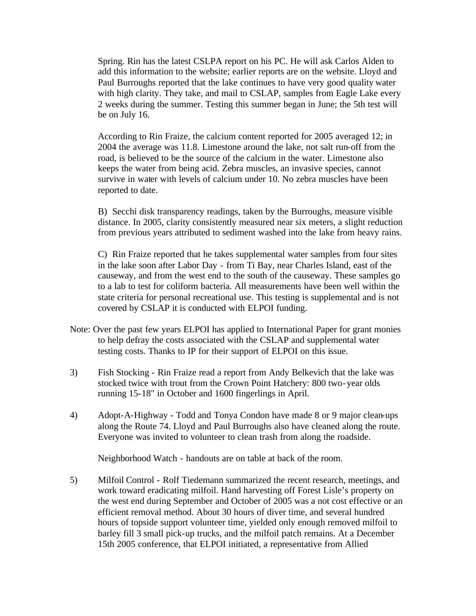Spring. Rin has the latest CSLPA report on his PC. He will ask Carlos Alden to add this information to the website; earlier reports are on the website. Lloyd and Paul Burroughs reported that the lake continues to have very good quality water with high clarity. They take, and mail to CSLAP, samples from Eagle Lake every 2 weeks during the summer. Testing this summer began in June; the 5th test will be on July 16.

According to Rin Fraize, the calcium content reported for 2005 averaged 12; in 2004 the average was 11.8. Limestone around the lake, not salt run-off from the road, is believed to be the source of the calcium in the water. Limestone also keeps the water from being acid. Zebra muscles, an invasive species, cannot survive in water with levels of calcium under 10. No zebra muscles have been reported to date.

B) Secchi disk transparency readings, taken by the Burroughs, measure visible distance. In 2005, clarity consistently measured near six meters, a slight reduction from previous years attributed to sediment washed into the lake from heavy rains.

C) Rin Fraize reported that he takes supplemental water samples from four sites in the lake soon after Labor Day - from Ti Bay, near Charles Island, east of the causeway, and from the west end to the south of the causeway. These samples go to a lab to test for coliform bacteria. All measurements have been well within the state criteria for personal recreational use. This testing is supplemental and is not covered by CSLAP it is conducted with ELPOI funding.

- Note: Over the past few years ELPOI has applied to International Paper for grant monies to help defray the costs associated with the CSLAP and supplemental water testing costs. Thanks to IP for their support of ELPOI on this issue.
- 3) Fish Stocking Rin Fraize read a report from Andy Belkevich that the lake was stocked twice with trout from the Crown Point Hatchery: 800 two-year olds running 15-18" in October and 1600 fingerlings in April.
- 4) Adopt-A-Highway Todd and Tonya Condon have made 8 or 9 major clean-ups along the Route 74. Lloyd and Paul Burroughs also have cleaned along the route. Everyone was invited to volunteer to clean trash from along the roadside.

Neighborhood Watch - handouts are on table at back of the room.

5) Milfoil Control - Rolf Tiedemann summarized the recent research, meetings, and work toward eradicating milfoil. Hand harvesting off Forest Lisle's property on the west end during September and October of 2005 was a not cost effective or an efficient removal method. About 30 hours of diver time, and several hundred hours of topside support volunteer time, yielded only enough removed milfoil to barley fill 3 small pick-up trucks, and the milfoil patch remains. At a December 15th 2005 conference, that ELPOI initiated, a representative from Allied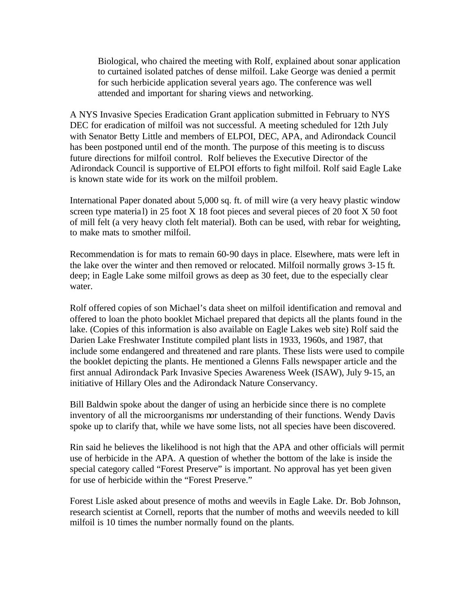Biological, who chaired the meeting with Rolf, explained about sonar application to curtained isolated patches of dense milfoil. Lake George was denied a permit for such herbicide application several years ago. The conference was well attended and important for sharing views and networking.

A NYS Invasive Species Eradication Grant application submitted in February to NYS DEC for eradication of milfoil was not successful. A meeting scheduled for 12th July with Senator Betty Little and members of ELPOI, DEC, APA, and Adirondack Council has been postponed until end of the month. The purpose of this meeting is to discuss future directions for milfoil control. Rolf believes the Executive Director of the Adirondack Council is supportive of ELPOI efforts to fight milfoil. Rolf said Eagle Lake is known state wide for its work on the milfoil problem.

International Paper donated about 5,000 sq. ft. of mill wire (a very heavy plastic window screen type material) in 25 foot X 18 foot pieces and several pieces of 20 foot X 50 foot of mill felt (a very heavy cloth felt material). Both can be used, with rebar for weighting, to make mats to smother milfoil.

Recommendation is for mats to remain 60-90 days in place. Elsewhere, mats were left in the lake over the winter and then removed or relocated. Milfoil normally grows 3-15 ft. deep; in Eagle Lake some milfoil grows as deep as 30 feet, due to the especially clear water.

Rolf offered copies of son Michael's data sheet on milfoil identification and removal and offered to loan the photo booklet Michael prepared that depicts all the plants found in the lake. (Copies of this information is also available on Eagle Lakes web site) Rolf said the Darien Lake Freshwater Institute compiled plant lists in 1933, 1960s, and 1987, that include some endangered and threatened and rare plants. These lists were used to compile the booklet depicting the plants. He mentioned a Glenns Falls newspaper article and the first annual Adirondack Park Invasive Species Awareness Week (ISAW), July 9-15, an initiative of Hillary Oles and the Adirondack Nature Conservancy.

Bill Baldwin spoke about the danger of using an herbicide since there is no complete inventory of all the microorganisms nor understanding of their functions. Wendy Davis spoke up to clarify that, while we have some lists, not all species have been discovered.

Rin said he believes the likelihood is not high that the APA and other officials will permit use of herbicide in the APA. A question of whether the bottom of the lake is inside the special category called "Forest Preserve" is important. No approval has yet been given for use of herbicide within the "Forest Preserve."

Forest Lisle asked about presence of moths and weevils in Eagle Lake. Dr. Bob Johnson, research scientist at Cornell, reports that the number of moths and weevils needed to kill milfoil is 10 times the number normally found on the plants.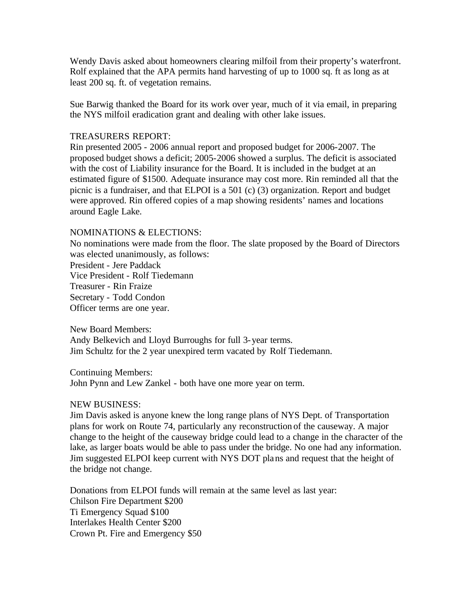Wendy Davis asked about homeowners clearing milfoil from their property's waterfront. Rolf explained that the APA permits hand harvesting of up to 1000 sq. ft as long as at least 200 sq. ft. of vegetation remains.

Sue Barwig thanked the Board for its work over year, much of it via email, in preparing the NYS milfoil eradication grant and dealing with other lake issues.

### TREASURERS REPORT:

Rin presented 2005 - 2006 annual report and proposed budget for 2006-2007. The proposed budget shows a deficit; 2005-2006 showed a surplus. The deficit is associated with the cost of Liability insurance for the Board. It is included in the budget at an estimated figure of \$1500. Adequate insurance may cost more. Rin reminded all that the picnic is a fundraiser, and that ELPOI is a 501 (c) (3) organization. Report and budget were approved. Rin offered copies of a map showing residents' names and locations around Eagle Lake.

#### NOMINATIONS & ELECTIONS:

No nominations were made from the floor. The slate proposed by the Board of Directors was elected unanimously, as follows: President - Jere Paddack Vice President - Rolf Tiedemann Treasurer - Rin Fraize Secretary - Todd Condon Officer terms are one year.

New Board Members: Andy Belkevich and Lloyd Burroughs for full 3-year terms. Jim Schultz for the 2 year unexpired term vacated by Rolf Tiedemann.

Continuing Members: John Pynn and Lew Zankel - both have one more year on term.

### NEW BUSINESS:

Jim Davis asked is anyone knew the long range plans of NYS Dept. of Transportation plans for work on Route 74, particularly any reconstruction of the causeway. A major change to the height of the causeway bridge could lead to a change in the character of the lake, as larger boats would be able to pass under the bridge. No one had any information. Jim suggested ELPOI keep current with NYS DOT plans and request that the height of the bridge not change.

Donations from ELPOI funds will remain at the same level as last year: Chilson Fire Department \$200 Ti Emergency Squad \$100 Interlakes Health Center \$200 Crown Pt. Fire and Emergency \$50